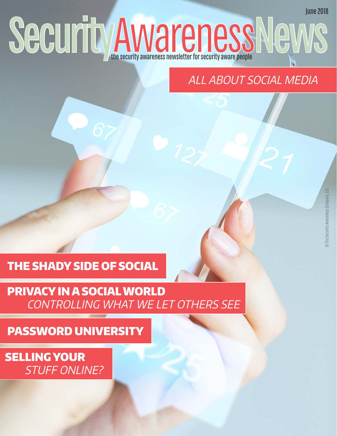# Security awareness newsletter for security aware people June 2018

# ALL ABOUT SOCIAL MEDIA

## THE SHADY SIDE OF SOCIAL

## PRIVACY IN A SOCIAL WORLD CONTROLLING WHAT WE LET OTHERS SEE

PASSWORD UNIVERSITY

SELLING YOUR STUFF ONLINE?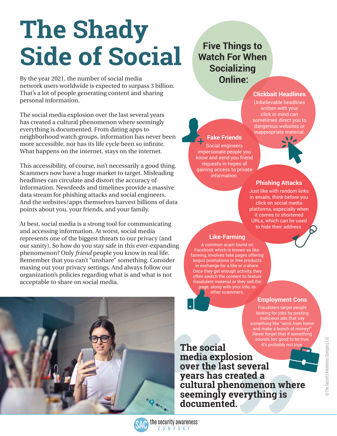# **The Shady Side of Social**

By the year 2021, the number of social media network users worldwide is expected to surpass 3 billion. That's a lot of people generating content and sharing personal information.

The social media explosion over the last several years has created a cultural phenomenon where seemingly everything is documented. From dating apps to neighborhood watch groups, information has never been more accessible, nor has its life cycle been so infinite. What happens on the internet, stays on the internet.

This accessibility, of course, isn't necessarily a good thing. Scammers now have a huge market to target. Misleading headlines can circulate and distort the accuracy of information. Newsfeeds and timelines provide a massive data stream for phishing attacks and social engineers. And the websites/apps themselves harvest billions of data points about you, your friends, and your family.

At best, social media is a strong tool for communicating and accessing information. At worst, social media represents one of the biggest threats to our privacy (and our sanity). So how do you stay safe in this ever-expanding phenomenon? Only *friend* people you know in real life. Remember that you can't "unshare" something. Consider maxing out your privacy settings. And always follow our organization's policies regarding what is and what is not acceptable to share on social media.



**Five Things to Watch For When Socializing Online:**

#### **Clickbait Headlines**

Unbelievable headlines written with your click in mind can sometimes direct you to dangerous websites or

## **Fake Friends**

Social engineers impersonate people you know and send you friend requests in hopes of gaining access to private information.



## **Phishing Attacks**

Just like with random links in emails, think before you click on social media platforms, especially when it comes to shortened URLs, which can be used to hide their address.

### **Like-Farming**

A common scam found on Facebook which is known as likefarming, involves fake pages offering bogus promotions or free products in exchange for a like or a share. Once they get enough activity, they often switch the content to feature fraudulent material or they sell the page, along with your info, to other scammers.

## **Employment Cons**

Fraudsters target people looking for jobs by posting malicious ads that say something like "work from home Never forget that if something sounds too good to be true,

@ The Security Awareness Company, LLC © The Security Awareness Company, LLC

it's probably not true **The social media explosion over the last several years has created a cultural phenomenon where seemingly everything is documented.**

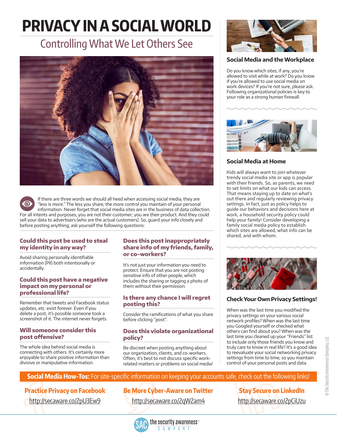# **PRIVACY IN A SOCIAL WORLD**

# Controlling What We Let Others See



If there are three words we should all heed when accessing social media, they are "less is more." The less you share, the more control you maintain of your personal information. Never forget that social media sites are in the business of data collection. For all intents and purposes, you are not their customer; you are their product. And they could sell your data to advertisers (who are the actual customers). So, guard your info closely and before posting anything, ask yourself the following questions:

#### **Could this post be used to steal my identity in any way?**

Avoid sharing personally identifiable information (PII) both intentionally or accidentally.

#### **Could this post have a negative impact on my personal or professional life?**

Remember that tweets and Facebook status updates, etc. exist forever. Even if you delete a post, it's possible someone took a screenshot of it. The internet never forgets.

#### **Will someone consider this post offensive?**

The whole idea behind social media is connecting with others. It's certainly more enjoyable to share positive information than divisive or manipulative information.

#### **Does this post inappropriately share info of my friends, family, or co-workers?**

It's not just your information you need to protect. Ensure that you are not posting sensitive info of other people, which includes the sharing or tagging a photo of them without their permission.

#### **Is there any chance I will regret posting this?**

Consider the ramifications of what you share before clicking "post".

#### **Does this violate organizational policy?**

Be discreet when posting anything about our organization, clients, and co-workers. Often, it's best to not discuss specific workrelated matters or problems on social media!



#### **Social Media and the Workplace**

Do you know which sites, if any, you're allowed to visit while at work? Do you know if you're allowed to use social media on work devices? If you're not sure, please ask. Following organizational policies is key to your role as a strong human firewall.



#### **Social Media at Home**

Kids will always want to join whatever trendy social media site or app is popular with their friends. So, as parents, we need to set limits on what our kids can access. That means staying up to date on what's out there and regularly reviewing privacy settings. In fact, just as policy helps to guide our behaviors and decisions here at work, a household security policy could help your family! Consider developing a family social media policy to establish which sites are allowed, what info can be shared, and with whom.



### **Check Your Own Privacy Settings!**

When was the last time you modified the privacy settings on your various social network profiles? When was the last time you Googled yourself or checked what others can find about you? When was the last time you cleaned up your "Friends" list to include only those friends you know and truly care to know in real life? It's a good idea to reevaluate your social networking privacy settings from time to time, so you maintain control of your personal posts and data.

> **Stay Secure on LinkedIn** [http://secaware.co/2pCiUzu](https://www.thesecurityawarenesscompany.com/2017/05/02/social-media-stay-secure-linkedin/)

### **Social Media How-Tos:** For site-specific information on keeping your accounts safe, check out the following links!

## **Practice Privacy on Facebook**

[http://secaware.co/2pU3Ew9](https://www.thesecurityawarenesscompany.com/2017/05/16/social-media-practice-privacy-facebook/)

## **Be More Cyber-Aware on Twitter**

[http://secaware.co/2qW2am4](https://www.thesecurityawarenesscompany.com/2017/05/09/social-media-cyberaware-twitter/)

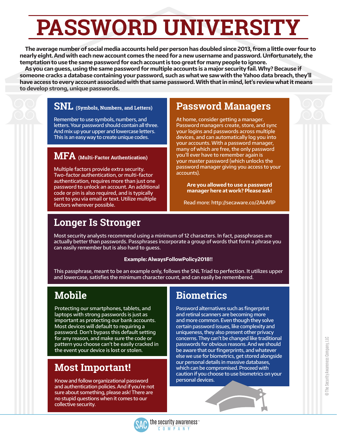# **PASSWORD UNIVERSITY**

**The average number of social media accounts held per person has doubled since 2013, from a little over four to nearly eight. And with each new account comes the need for a new username and password. Unfortunately, the temptation to use the same password for each account is too great for many people to ignore.** 

**As you can guess, using the same password for multiple accounts is a major security fail. Why? Because if someone cracks a database containing your password, such as what we saw with the Yahoo data breach, they'll have access to every account associated with that same password. With that in mind, let's review what it means to develop strong, unique passwords.**

## **SNL (Symbols, Numbers, and Letters)**

Remember to use symbols, numbers, and letters. Your password should contain all three. And mix up your upper and lowercase letters. This is an easy way to create unique codes.

## **MFA (Multi-Factor Authentication)**

Multiple factors provide extra security. Two-factor authentication, or multi-factor authentication, requires more than just one password to unlock an account. An additional code or pin is also required, and is typically sent to you via email or text. Utilize multiple factors wherever possible.

## **Password Managers**

At home, consider getting a manager. Password managers create, store, and sync your logins and passwords across multiple devices, and can automatically log you into your accounts. With a password manager, many of which are free, the only password you'll ever have to remember again is your master password (which unlocks the password manager giving you access to your accounts).

**Are you allowed to use a password manager here at work? Please ask!**

Read more: [http://secaware.co/2AkAflP](https://www.thesecurityawarenesscompany.com/2016/11/17/password-managers-yes-theyre-safe-yes-need-one/)

## **Longer Is Stronger**

Most security analysts recommend using a minimum of 12 characters. In fact, passphrases are actually better than passwords. Passphrases incorporate a group of words that form a phrase you can easily remember but is also hard to guess.

#### **Example: AlwaysFollowPolicy2018!!**

This passphrase, meant to be an example only, follows the SNL Triad to perfection. It utilizes upper and lowercase, satisfies the minimum character count, and can easily be remembered.

## **Mobile**

Protecting our smartphones, tablets, and laptops with strong passwords is just as important as protecting our bank accounts. Most devices will default to requiring a password. Don't bypass this default setting for any reason, and make sure the code or pattern you choose can't be easily cracked in the event your device is lost or stolen.

## **Most Important!**

Know and follow organizational password and authentication policies. And if you're not sure about something, please ask! There are no stupid questions when it comes to our collective security.

## **Biometrics**

Password alternatives such as fingerprint and retinal scanners are becoming more and more common. Even though they solve certain password issues, like complexity and uniqueness, they also present other privacy concerns. They can't be changed like traditional passwords for obvious reasons. And we should be aware that our fingerprints, and whatever else we use for biometrics, get stored alongside our personal details in massive databases, which can be compromised. Proceed with caution if you choose to use biometrics on your personal devices.